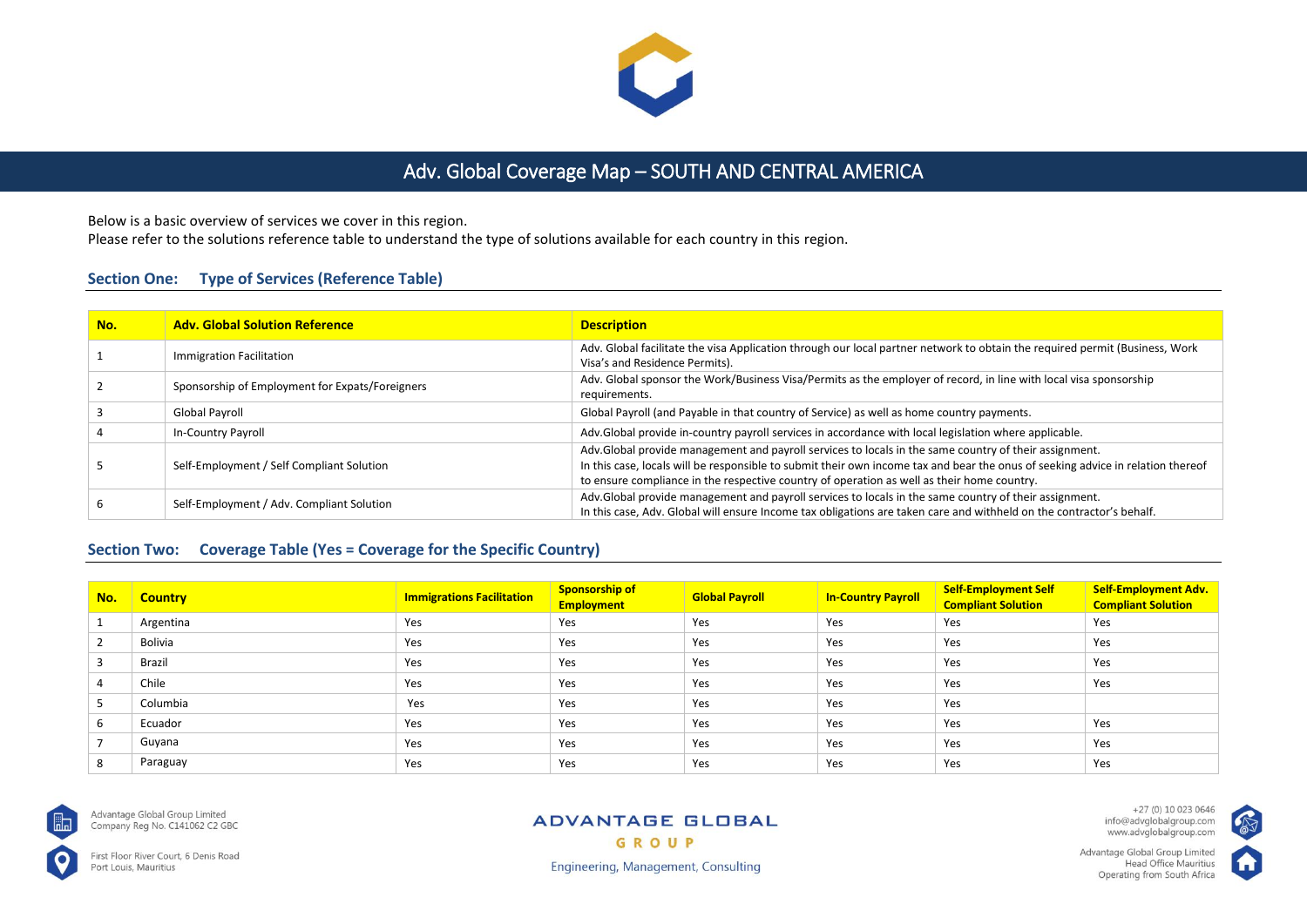

# Adv. Global Coverage Map – SOUTH AND CENTRAL AMERICA

Below is a basic overview of services we cover in this region.

Please refer to the solutions reference table to understand the type of solutions available for each country in this region.

### **Section One: Type of Services (Reference Table)**

| No. | <b>Adv. Global Solution Reference</b>           | <b>Description</b>                                                                                                                                                                                                                                                                                                                     |
|-----|-------------------------------------------------|----------------------------------------------------------------------------------------------------------------------------------------------------------------------------------------------------------------------------------------------------------------------------------------------------------------------------------------|
|     | Immigration Facilitation                        | Adv. Global facilitate the visa Application through our local partner network to obtain the required permit (Business, Work<br>Visa's and Residence Permits).                                                                                                                                                                          |
|     | Sponsorship of Employment for Expats/Foreigners | Adv. Global sponsor the Work/Business Visa/Permits as the employer of record, in line with local visa sponsorship<br>requirements.                                                                                                                                                                                                     |
|     | Global Payroll                                  | Global Payroll (and Payable in that country of Service) as well as home country payments.                                                                                                                                                                                                                                              |
|     | In-Country Payroll                              | Adv.Global provide in-country payroll services in accordance with local legislation where applicable.                                                                                                                                                                                                                                  |
|     | Self-Employment / Self Compliant Solution       | Adv.Global provide management and payroll services to locals in the same country of their assignment.<br>In this case, locals will be responsible to submit their own income tax and bear the onus of seeking advice in relation thereof<br>to ensure compliance in the respective country of operation as well as their home country. |
|     | Self-Employment / Adv. Compliant Solution       | Adv.Global provide management and payroll services to locals in the same country of their assignment.<br>In this case, Adv. Global will ensure Income tax obligations are taken care and withheld on the contractor's behalf.                                                                                                          |

# **Section Two: Coverage Table (Yes = Coverage for the Specific Country)**

| No.            | <b>Country</b> | <b>Immigrations Facilitation</b> | <b>Sponsorship of</b><br><b>Employment</b> | <b>Global Payroll</b> | <b>In-Country Payroll</b> | <b>Self-Employment Self</b><br><b>Compliant Solution</b> | <b>Self-Employment Adv.</b><br><b>Compliant Solution</b> |
|----------------|----------------|----------------------------------|--------------------------------------------|-----------------------|---------------------------|----------------------------------------------------------|----------------------------------------------------------|
|                | Argentina      | Yes                              | Yes                                        | Yes                   | Yes                       | Yes                                                      | Yes                                                      |
|                | Bolivia        | Yes                              | Yes                                        | Yes                   | Yes                       | Yes                                                      | Yes                                                      |
|                | Brazil         | Yes                              | Yes                                        | Yes                   | Yes                       | Yes                                                      | Yes                                                      |
| $\overline{4}$ | Chile          | Yes                              | Yes                                        | Yes                   | Yes                       | Yes                                                      | Yes                                                      |
|                | Columbia       | Yes                              | Yes                                        | Yes                   | Yes                       | Yes                                                      |                                                          |
| b              | Ecuador        | Yes                              | Yes                                        | Yes                   | Yes                       | Yes                                                      | Yes                                                      |
|                | Guyana         | Yes                              | Yes                                        | Yes                   | Yes                       | Yes                                                      | Yes                                                      |
| 8              | Paraguay       | Yes                              | Yes                                        | Yes                   | Yes                       | Yes                                                      | Yes                                                      |



Advantage Global Group Limited Company Reg No. C141062 C2 GBC

First Floor River Court, 6 Denis Road Port Louis, Mauritius

#### **ADVANTAGE GLOBAL** GROUP

+27 (0) 10 023 0646 info@advglobalgroup.com<br>www.advglobalgroup.com

Advantage Global Group Limited Head Office Mauritius Operating from South Africa



**Engineering, Management, Consulting**